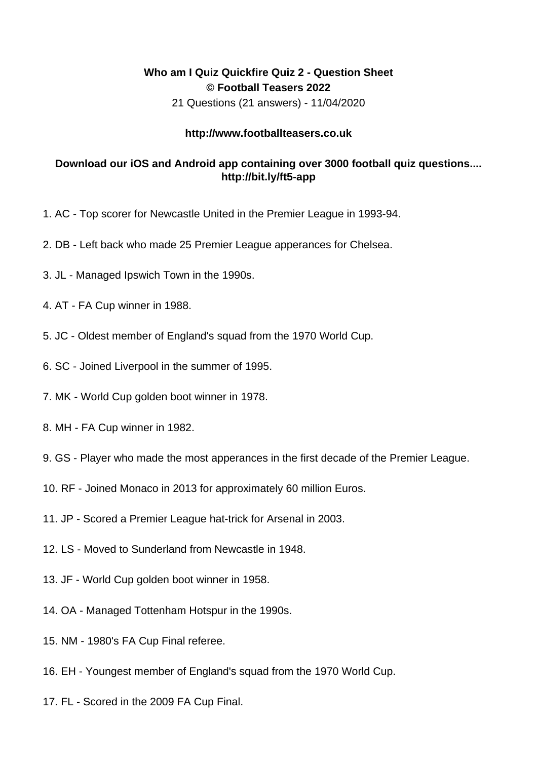## **Who am I Quiz Quickfire Quiz 2 - Question Sheet © Football Teasers 2022**

21 Questions (21 answers) - 11/04/2020

## **http://www.footballteasers.co.uk**

## **Download our iOS and Android app containing over 3000 football quiz questions.... http://bit.ly/ft5-app**

- 1. AC Top scorer for Newcastle United in the Premier League in 1993-94.
- 2. DB Left back who made 25 Premier League apperances for Chelsea.
- 3. JL Managed Ipswich Town in the 1990s.
- 4. AT FA Cup winner in 1988.
- 5. JC Oldest member of England's squad from the 1970 World Cup.
- 6. SC Joined Liverpool in the summer of 1995.
- 7. MK World Cup golden boot winner in 1978.
- 8. MH FA Cup winner in 1982.
- 9. GS Player who made the most apperances in the first decade of the Premier League.
- 10. RF Joined Monaco in 2013 for approximately 60 million Euros.
- 11. JP Scored a Premier League hat-trick for Arsenal in 2003.
- 12. LS Moved to Sunderland from Newcastle in 1948.
- 13. JF World Cup golden boot winner in 1958.
- 14. OA Managed Tottenham Hotspur in the 1990s.
- 15. NM 1980's FA Cup Final referee.
- 16. EH Youngest member of England's squad from the 1970 World Cup.
- 17. FL Scored in the 2009 FA Cup Final.